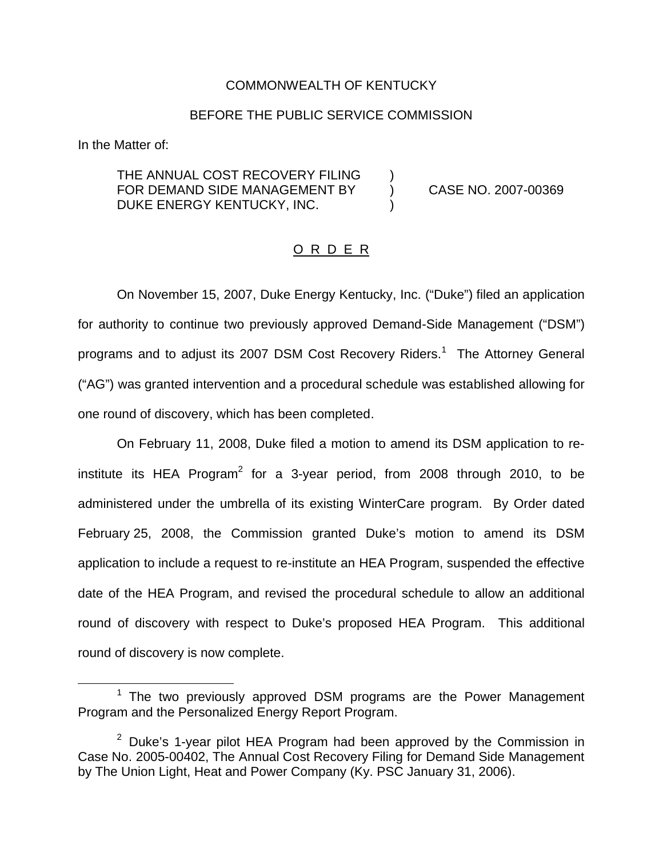## COMMONWEALTH OF KENTUCKY

## BEFORE THE PUBLIC SERVICE COMMISSION

In the Matter of:

THE ANNUAL COST RECOVERY FILING FOR DEMAND SIDE MANAGEMENT BY (CASE NO. 2007-00369) DUKE ENERGY KENTUCKY, INC.

## O R D E R

On November 15, 2007, Duke Energy Kentucky, Inc. ("Duke") filed an application for authority to continue two previously approved Demand-Side Management ("DSM") programs and to adjust its 2007 DSM Cost Recovery Riders.<sup>1</sup> The Attorney General ("AG") was granted intervention and a procedural schedule was established allowing for one round of discovery, which has been completed.

On February 11, 2008, Duke filed a motion to amend its DSM application to reinstitute its HEA Program<sup>2</sup> for a 3-year period, from 2008 through 2010, to be administered under the umbrella of its existing WinterCare program. By Order dated February 25, 2008, the Commission granted Duke's motion to amend its DSM application to include a request to re-institute an HEA Program, suspended the effective date of the HEA Program, and revised the procedural schedule to allow an additional round of discovery with respect to Duke's proposed HEA Program. This additional round of discovery is now complete.

 $1$  The two previously approved DSM programs are the Power Management Program and the Personalized Energy Report Program.

 $2$  Duke's 1-year pilot HEA Program had been approved by the Commission in Case No. 2005-00402, The Annual Cost Recovery Filing for Demand Side Management by The Union Light, Heat and Power Company (Ky. PSC January 31, 2006).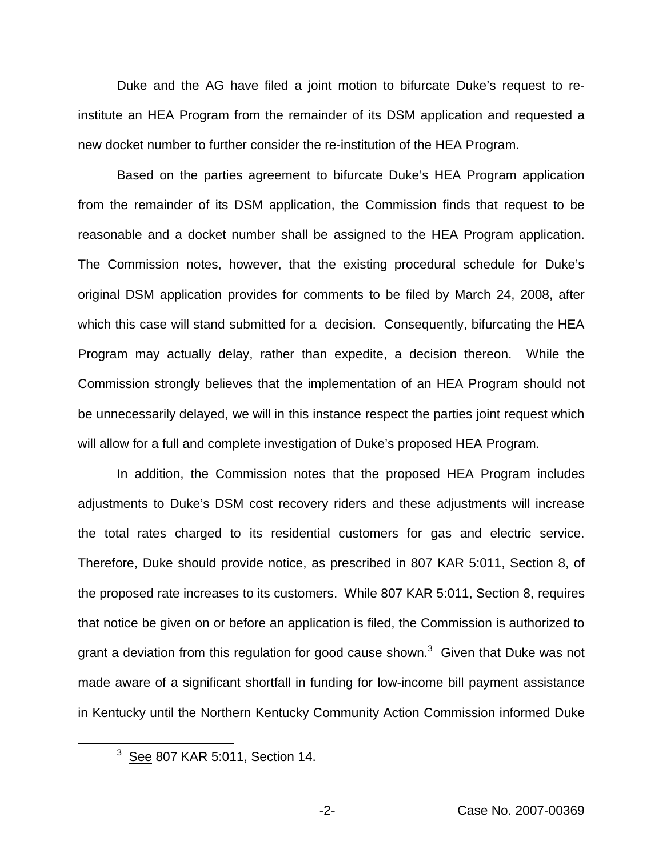Duke and the AG have filed a joint motion to bifurcate Duke's request to reinstitute an HEA Program from the remainder of its DSM application and requested a new docket number to further consider the re-institution of the HEA Program.

Based on the parties agreement to bifurcate Duke's HEA Program application from the remainder of its DSM application, the Commission finds that request to be reasonable and a docket number shall be assigned to the HEA Program application. The Commission notes, however, that the existing procedural schedule for Duke's original DSM application provides for comments to be filed by March 24, 2008, after which this case will stand submitted for a decision. Consequently, bifurcating the HEA Program may actually delay, rather than expedite, a decision thereon. While the Commission strongly believes that the implementation of an HEA Program should not be unnecessarily delayed, we will in this instance respect the parties joint request which will allow for a full and complete investigation of Duke's proposed HEA Program.

In addition, the Commission notes that the proposed HEA Program includes adjustments to Duke's DSM cost recovery riders and these adjustments will increase the total rates charged to its residential customers for gas and electric service. Therefore, Duke should provide notice, as prescribed in 807 KAR 5:011, Section 8, of the proposed rate increases to its customers. While 807 KAR 5:011, Section 8, requires that notice be given on or before an application is filed, the Commission is authorized to grant a deviation from this regulation for good cause shown. $3$  Given that Duke was not made aware of a significant shortfall in funding for low-income bill payment assistance in Kentucky until the Northern Kentucky Community Action Commission informed Duke

 $3$  See 807 KAR 5:011, Section 14.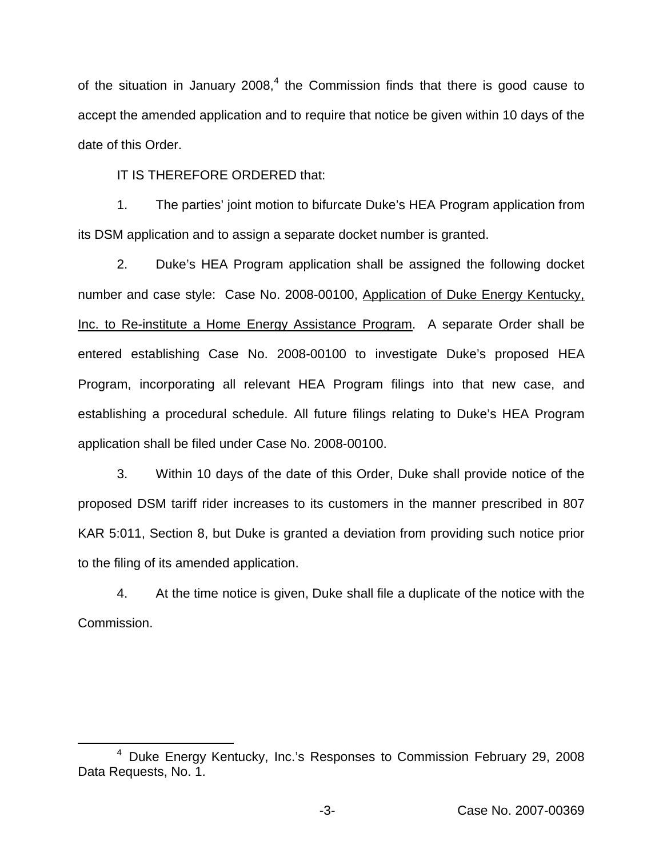of the situation in January  $2008<sup>4</sup>$ , the Commission finds that there is good cause to accept the amended application and to require that notice be given within 10 days of the date of this Order.

IT IS THEREFORE ORDERED that:

1. The parties' joint motion to bifurcate Duke's HEA Program application from its DSM application and to assign a separate docket number is granted.

2. Duke's HEA Program application shall be assigned the following docket number and case style: Case No. 2008-00100, Application of Duke Energy Kentucky, Inc. to Re-institute a Home Energy Assistance Program. A separate Order shall be entered establishing Case No. 2008-00100 to investigate Duke's proposed HEA Program, incorporating all relevant HEA Program filings into that new case, and establishing a procedural schedule. All future filings relating to Duke's HEA Program application shall be filed under Case No. 2008-00100.

3. Within 10 days of the date of this Order, Duke shall provide notice of the proposed DSM tariff rider increases to its customers in the manner prescribed in 807 KAR 5:011, Section 8, but Duke is granted a deviation from providing such notice prior to the filing of its amended application.

4. At the time notice is given, Duke shall file a duplicate of the notice with the Commission.

<sup>4</sup> Duke Energy Kentucky, Inc.'s Responses to Commission February 29, 2008 Data Requests, No. 1.